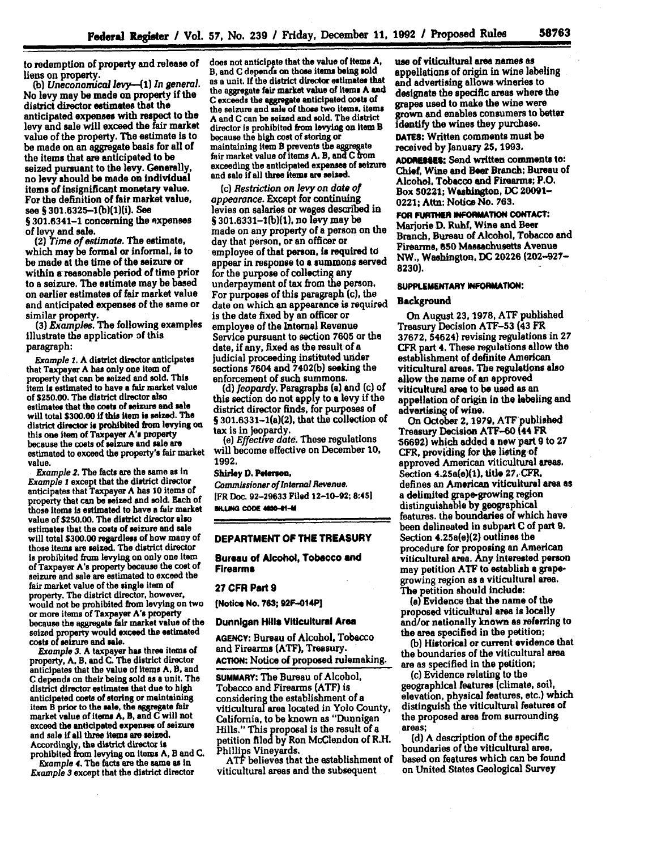to redemption of property and release of liens on property.

*(b) Uneconomical levy-41) In general.* No levy may be made on property if the district director estimates that the anticipated expenses with respect to the levy and sale will exceed the fair market value of the property. The estimate is to **be** made on an aggregate basis for all of the items that are anticipated to **be** seized pursuant to the levy. Generally, no levy should **be** made on individual items of insignificant monetary value. For the definition of fair market value, see **S** 301.6325-1(b)(1)(i). See § 301.6341-1 concerning the expenses of **levy** and sale.

(2) *Time of estimate.* The estimate, which may be formal or informal, Is to be made at the time of the seizure or within a-reasonable period **of** time prior to a seizure. The estimate may be based on earlier estimates of fair market value and anticipated expenses of the same or similar property.

**(3)** *Examples.* The following examples illustrate the application of this paragraph:

*Example* **1. A** district director anticipates that Taxpayer **A has** only one item of property that can be seized and sold. This item **is** estimated to have a fair market value of **\$250.00.** The district director also estimates that the **costs** of seizure and sale will total **\$300.00 if** this item is seized. The district director is prohibited from levying on this one item of Taxpayer **A's** property because the costs of seizure and sale are estimated to exceed the property's fair market value.

*Example* **2.** The facts are the same as in *Example I* except that the district director anticipates that Taxpayer **A** has **10** items of property that can **be** seized and sold. Each of those items is estimated to have **a** fair market value of **\$250.00.** The district director also estimates that the **costs** of seizure and sale will total **\$300.00** regardless of how many of those items are seized. The district director is prohibited from levying on only one item of Taxpayer A's property because the cost **of** seizure and sale are estimated to exceed the fair market value of the single item of property. The district director, however, would not be prohibited **from** levying on two or more items of Taxpayer A's property because the aggregate fair market value of the seized property would exceed the estimated **costs of** seizure and **sale.**

*Example* **3. A taxpayer has three items of** property, **A, B,** and **C.** The district director anticipates that the value of Items **A,** B, and **C** depends on their being sold as **a** unit. The district director estimates that due to high<br>anticipated costs of storing or maintaining item B prior to the sale, the aggregate fair market value of items **A, D,** and **C** will not exceed the anticipated expenses **of** seizure and sale if **all** three items are seized. Accordingly, the district director is prohibited from levying on items **A,** B and C.

*Example* **4.** The facts are the same as in *Example* **3** except that the district director does not anticipate that the value of items A, B, and **C** depends on those items being sold as a unit. **If** the district director **estimates that** the aggregate fair market value of Items **A** and **C exceeds the** aggregate anticipated costs **of** the seizure and sale of those two **items.** items **A** and **C** can **be** seized and sold. The district director is prohibited from levying on item **B** because the high cost of storing or maintaining item B prevents the aggregate fair market value of items **A.** B, **andC** from exceeding the anticipated expenses of seizure and sale if all three items are seized.

*(c) Restriction on levy on date of appearance.* Except for continuing levies on salaries or wages described in **§** 301.6331-1(b)(1), no levy may be made on any property of a person on the day that person, or an officer or employee of that person, is required to appear in response to a summons served for the purpose of collecting **any** underpayment of tax from the person. For purposes of this paragraph (c), the date on which an appearance is required Is the date fixed **by** an officer or employee of the Internal Revenue Service pursuant to section **7605** or the date, if any, fixed as the result of a judicial proceeding instituted **under** sections 7604 and **7402(b)** seeking the enforcement of such summons.

*(d) Jeopardy.* Paragraphs **(a)** and (c) of this section do not app **y** to **a** levy if the district director finds, for purposes of **§** 301.6331-1(a)(2), that **the** collection of

tax is in jeopardy. *(e) Effective date.* These regulations will become effective on December **10, 1992.**

#### **Shirley D. Petersen,**

*Commissioner of Internal Revenue.* **[FR** Doc. **92-29633** Filed **12-10-92; 8:451 BILLING CODE 4650-01-M** 

#### **DEPARTMENT OF THE TREASURY**

**Bureau of Alcohol, Tobacco and Firearms**

#### **27 CFR Part 9**

**[Notice No. 763; 92F-014P]**

**Dunnigan Hills Viticultural Area**

**AGENCY:** Bureau of Alcohol, Tobacco and Firearms **(ATF),** Treasury. ACTION: Notice of proposed rulemaking.

**SUMMARY:** The Bureau of Alcohol, Tobacco and Firearms **(ATF)** Is considering the establishment of a viticultural area located in Yolo County, California, to be known as "Dunnigan Hills." This proposal is the result of a petition **filedby Ron** McClendon of R.H. **Phillips Vineyards..**

ATF believes that the establishment of viticultural areas and the subsequent

use of viticultural area names **as** appellations of origin in wine labeling and advertising allows wineries to designate the specific areas where the grapes used to make the wine were grown and enables consumers to better identify the wines they purchase. **DAMTS:** Written comments must **be**

received **by** January 25, **1993.**

**ADOREEs\$:** Send written comments to: **Chief,** Wine and **Beer** Branch; Bureau of Alcohol. Tobacco and Firearms; P.O. Box 50221; Washington, **DC** 20091- 0221; **Attn:** Notice No. **763,**

**FOR FURT#ER INFORMATION CONTACT:** Marjorie **D.** Ruhf, Wine and Beer Branch, Bureau of Alcohol, Tobacco and Firearms, **650** Massachusetts Avenue NW., Washington, **DC 20226 (202-927- 8230).**

#### SUPPLEMENTARY INFORMATION:

#### **Background**

On August **23, 1978, ATF** published Treasury Decision **ATF-53** (43 FR **37672,** 54624) revising regulations in **27** CFR part **4.** These regulations allow the establishment of definite American viticultural areas. The regulations also allow the name of an approved viticultural area to be used as an appellation of origin in the labeling and advertising of wine.

On October 2, 1979, ATF published<br>Treasury Decision ATF-60 (44 FR **-56692)** which added **a new** part **9** to **27** CFR, providing for the listing of approved American viticultural areas. Section 4.25a(e)(1), title 27, CFR, defines an American viticultural area as a delimited grape-growing region distinguishable **by** geographical features. the boundaries of which have been delineated in subpart **C** of part **9.** Section 4.25a(e)(2) outlines the procedure for proposing an American viticultural area. Any interested person may petition **ATF** to establish a grapegrowing region as **a** viticultural area. The petition should include:

**(a)** Evidence that the name of the proposed viticultural area is locally and/or nationally known as referring to the area specified in the petition;

**(b)** Historical or current evidence that the boundaries of the viticultural area are as specified in the petition;

**(c)** Evidence relating to the geographical features (climate, soil, elevation, physical features, etc.) which distinguish the viticultural features of the proposed area from surrounding areas;

**(d) A** description of the specific boundaries of the viticultural area, based on features which can be found on United States Geological Survey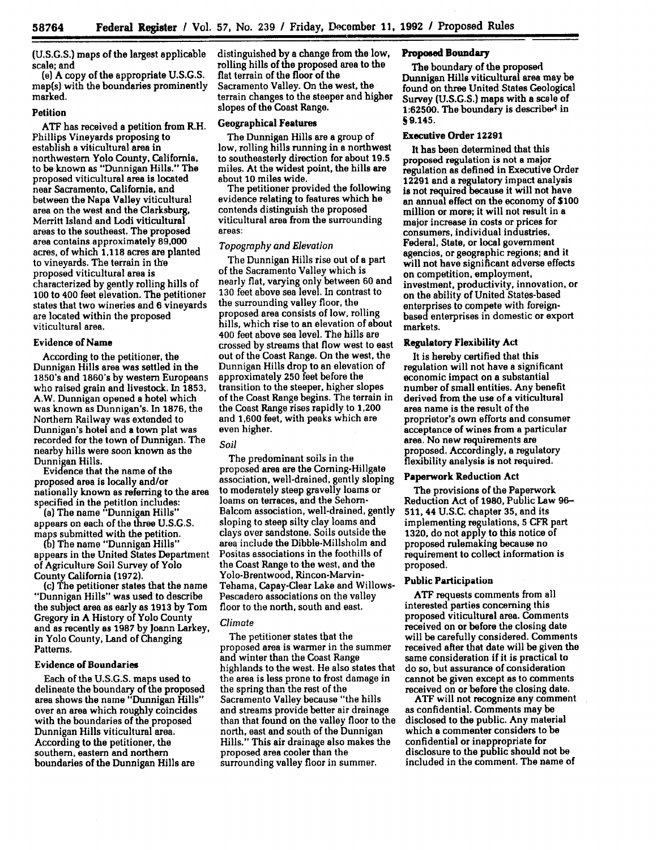(U.S.G.S.) maps of the largest applicable scale; and

(e) A copy of the appropriate U.S.G.S. map(s) with the boundaries prominently marked.

# **Petition**

**ATF** has received a petition from R.H. Phillips Vineyards proposing to establish a viticultural area in northwestern Yolo County, California, to be known as "Dunnigan Hills." The proposed viticultural area is located near Sacramento, California, and between the Napa Valley viticultural area on the west and the Clarksburg, Merritt Island and Lodi viticultural areas to the southeast. The proposed area contains approximately **89,000** acres, of which **1,118** acres are planted to vineyards. The terrain in the proposed viticultural area is characterized **by** gently rolling hills of **100** to 400 feet elevation. The petitioner states that two wineries and **6** vineyards are located within the proposed viticultural area.

#### **Evidence of Name**

According to the petitioner, the Dunnigan Hills area was settled in the 1850's and 1860's **by** western Europeans who raised grain and livestock. In **1853, A.W.** Dunnigan opened a hotel which was known as Dunnigan's. In **1876,** the Northern Railway was extended to Dunnigan's hotel and **a** town plat was recorded for the town of Dunnigan. The nearby hills were soon known as the Dunnigan Hills.

Evidence that the name of the proposed area is locally and/or nationally known as referring to the area specified in the petition includes:

(a) The name "Dunnigan Hills" appears on each of the **three U.S.G.S.** maps submitted with the petition.

**Ab)** The name "Dunnigan Hills" appears in the United States Department of Agriculture Soil Survey of Yolo County California **(1972).**

(c) The petitioner states that the name "Dunnigan Hills" was used to describe the subject area as early as **1913 by** Tom Gregory in **A** History of Yolo County and as recently as **1987 by** Joann Larkey, in Yolo County, Land of Changing Patterns.

# **Evidence of Boundaries**

Each of the **U.S.G.S.** maps used to delineate the boundary of the proposed area shows the name "Dunnigan Hills" over an area which roughly coincides with the boundaries of the proposed Dunnigan Hills viticultural area. According to the petitioner, the southern, eastern and northern boundaries of the Dunnigan Hills are

distinguished **by** a change from the low, rolling hills of the proposed area to the flat terrain of the floor of the Sacramento Valley. On the west, the terrain changes to the steeper and higher slopes of the Coast Range.

# **Geographical Features**

The Dunnigan Hills are a group of low, rolling hills running in a northwest to southeasterly direction for about **19.5** miles. At the widest point, the hills are about **10** miles wide.

The petitioner provided the following evidence relating to features which he contends distinguish the proposed viticultural area from the surrounding areas:

# *Topography and Elevation*

The Dunnigan Hills rise out of a part of the Sacramento Valley which is nearly flat, varying only between **60** and **130** feet above sea level. In contrast to the surrounding valley floor, the proposed area consists of low, rolling hills, which rise to an elevation of about 400 feet above sea level. The hills are crossed **by** streams that flow west to east out of the Coast Range. On the west, the Dunnigan Hills drop to an elevation of approximately **250** feet before the transition to the steeper, higher slopes of the Coast Range begins. The terrain in the Coast Range rises rapidly to 1,200 and **1,600** feet, with peaks which are even higher.

# *Soil*

The predominant soils in the proposed area are the Corning-Hillgate association, well-drained, gently sloping to moderately steep gravelly loams or loams on terraces, and the Sehorn-Balcom association, well-drained, gently sloping to steep silty clay loams and clays over sandstone. Soils outside the area include the Dibble-Millsholm and Positas associations in the foothills of the Coast Range to the west, and the Yolo-Brentwood, Rincon-Marvin-Tehama, Capay-Clear Lake and Willows-Pescadero associations on the valley floor to the north, south and east.

# *Climate*

The petitioner states that the proposed area is warmer in the summer and winter than the Coast Range highlands to the west. He also states that the area is less prone to frost damage in the spring than the rest of the Sacramento Valley because "the hills and streams provide better air drainage than that found on the valley floor to the north, east and south of the Dunnigan Hills." This air drainage also makes the proposed area cooler than the surrounding valley floor in summer.

# **Proposed Boundary**

The boundary of the proposed Dunnigan Hills viticultural area may be found on three United States Geological Survey **(U.S.G.S.)** maps with a scale of **1:62500.** The boundary is described in **S** 9.145,

# Executive Order 12291

It has been determined that this proposed regulation is not a major regulation as defined in Executive Order 12291 and a regulatory impact analysis is not required because it will not have an annual effect on the economy of **\$100** million or more; it will not result in a major increase in costs or prices for consumers, individual industries, Federal, State, or local government agencies, or geographic regions; and it will not have significant adverse effects on competition. employment, investment, productivity, innovation, or on the ability of United States-based enterprises to compete with foreignbased enterprises in domestic or export markets.

#### **Regulatory Flexibility Act**

It is hereby certified that this regulation will not have a significant economic impact on a substantial number of small entities. Any benefit derived from the use of a viticultural area name is the result of the proprietor's own efforts and consumer acceptance of wines from a particular area. No **new** requirements are proposed. Accordingly, a regulatory flexibility analysis is not required.

# **Paperwork Reduction Act**

The provisions of the Paperwork Reduction Act of **1980,** Public Law **96- 511,** 44 **U.S.C.** chapter **35,** and its implementing regulations, **5** CFR part **1320,** do not apply to this notice of proposed rulemaking because no requirement to collect information is proposed.

# **Public Participation**

**ATF** requests comments from all interested parties concerning this proposed viticultural area. Comments received on or before the closing date will be carefully considered. Comments received after that date will be given the same consideration if it is practical to do so, but assurance of consideration cannot be given except as to comments received on or before the closing date.

**ATF will not** recognize any comment as confidential. Comments may be disclosed to the public. Any material which a commenter considers to **be** confidential or inappropriate for disclosure to the public should not be included in the comment. The name of